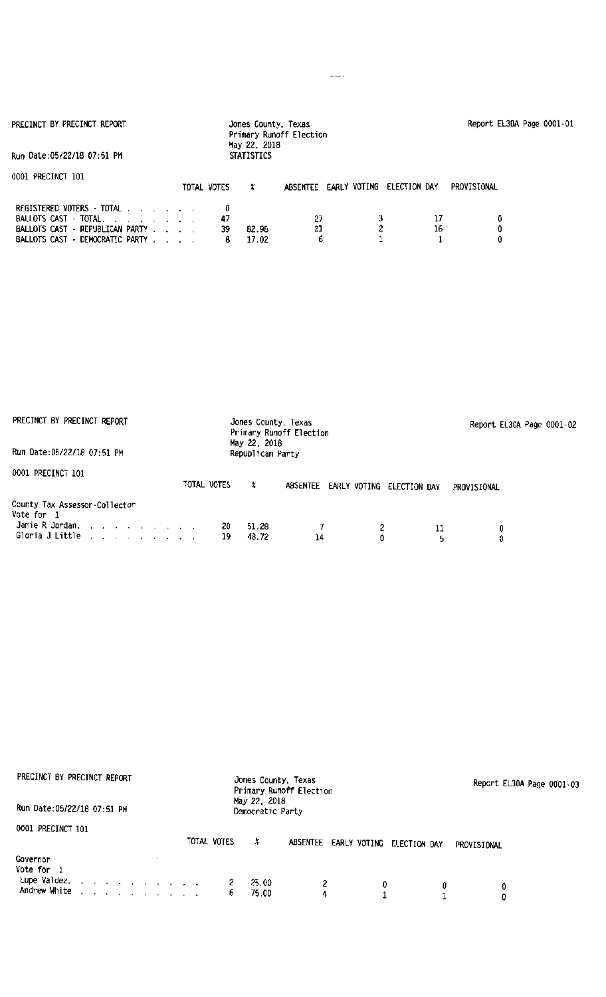| PRECINCT BY PRECINCT REPORT                                                                                              |                    | Jones County, Texas<br>May 22, 2018 | Primary Runoff Election |              |              | Report EL30A Page 0001-01 |  |
|--------------------------------------------------------------------------------------------------------------------------|--------------------|-------------------------------------|-------------------------|--------------|--------------|---------------------------|--|
| Run Date:05/22/18 07:51 PM                                                                                               |                    | <b>STATISTICS</b>                   |                         |              |              |                           |  |
| 0001 PRECINCT 101                                                                                                        | TOTAL VOTES        | x                                   | <b>ABSENTEE</b>         | EARLY VOTING | ELECTION DAY | PROVISIONAL               |  |
| REGISTERED VOTERS - TOTAL<br>BALLOTS CAST - TOTAL.<br>BALLOTS CAST - REPUBLICAN PARTY<br>BALLOTS CAST - DEMOCRATIC PARTY | 0<br>47<br>39<br>8 | 82.98<br>17.02                      | 27<br>21<br>ь           | 2            | 16           |                           |  |

| PRECINCT BY PRECINCT REPORT                                                                |             | Jones County, Texas<br>Primary Runoff Election<br>May 22, 2018 |    |                           |             | Report EL30A Page 0001-02 |
|--------------------------------------------------------------------------------------------|-------------|----------------------------------------------------------------|----|---------------------------|-------------|---------------------------|
| Run Date: 05/22/18 07:51 PM                                                                |             | Republican Party                                               |    |                           |             |                           |
| 0001 PRECINCT 101                                                                          | TOTAL VOTES | x<br>ABSENTEE                                                  |    | EARLY VOTING ELECTION DAY | PROVISIONAL |                           |
| County Tax Assessor-Collector<br>Vote for 1<br>Jamie R Jordan.<br>Gloria J Little $\ldots$ | 20<br>19    | 51.28<br>48.72                                                 | 14 | O                         | 11<br>5     | 0<br>0                    |

| PRECINCT BY PRECINCT REPORT                    | Jones County, Texas<br>Primary Runoff Election |                           | Report EL30A Page 0001-03 |
|------------------------------------------------|------------------------------------------------|---------------------------|---------------------------|
| Run Date: 05/22/18 07:51 PM                    | May 22, 2018<br>Democratic Party               |                           |                           |
| 0001 PRECINCT 101                              |                                                |                           |                           |
|                                                | TOTAL VOTES<br>x<br><b>ABSENTEE</b>            | EARLY VOTING ELECTION DAY | PROVISIONAL               |
| Governor<br>Vote for 1<br>Lupe Valdez.         | 25.00<br>2                                     |                           |                           |
| Andrew White<br>and a series of the company of | 75.00<br>6                                     | 0<br>4                    | 0<br>0<br>٥               |

 $\frac{1}{2}$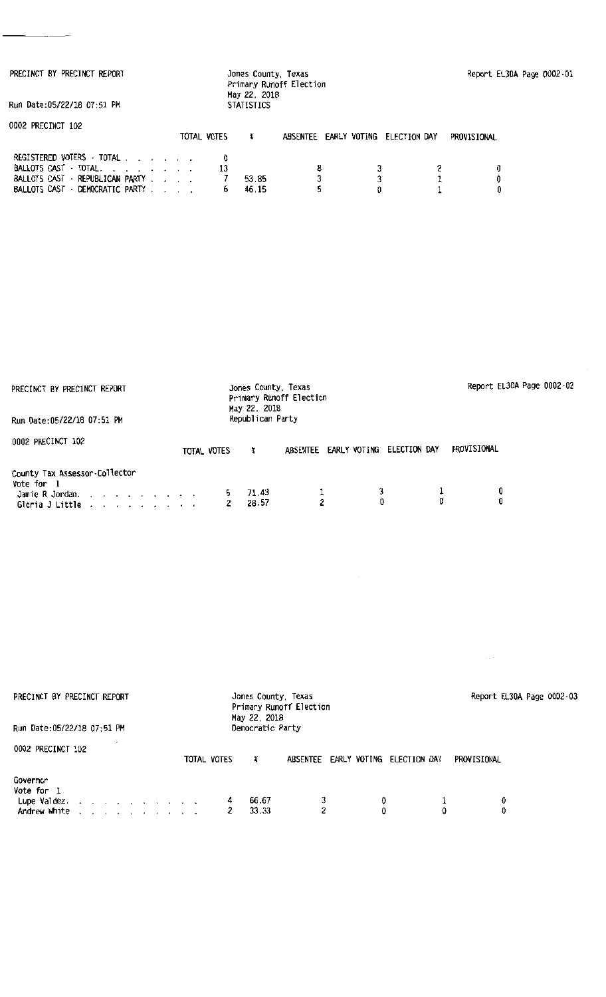| PRECINCT BY PRECINCT REPORT                                                                                            |  |             | Jones County, Texas<br>May 22, 2018 | Primary Runoff Election |              |              |             | Report EL30A Page 0002-01 |
|------------------------------------------------------------------------------------------------------------------------|--|-------------|-------------------------------------|-------------------------|--------------|--------------|-------------|---------------------------|
| Run Date:05/22/18 07:51 PM                                                                                             |  |             | <b>STATISTICS</b>                   |                         |              |              |             |                           |
| 0002 PRECINCT 102                                                                                                      |  | TOTAL VOTES | x                                   | ABSENTEE                | EARLY VOTING | ELECTION DAY | PROVISIONAL |                           |
| REGISTERED VOTERS - TOTAL<br>BALLOTS CAST TOTAL.<br>BALLOTS CAST - REPUBLICAN PARTY<br>BALLOTS CAST - DEMOCRATIC PARTY |  | 13<br>6     | 53.85<br>46.15                      | 8<br>3                  |              |              | 0<br>0<br>0 |                           |

| PRECINCT BY PRECINCT REPORT                                                       | Jones County, Texas<br>Primary Runoff Election<br>May 22, 2018 |                  |   |                           |             | Report EL30A Page 0002-02 |  |
|-----------------------------------------------------------------------------------|----------------------------------------------------------------|------------------|---|---------------------------|-------------|---------------------------|--|
| Run Date: 05/22/18 07:51 PM                                                       |                                                                | Republican Party |   |                           |             |                           |  |
| 0002 PRECINCT 102                                                                 | TOTAL VOTES                                                    | ABSENTEE<br>x    |   | EARLY VOTING ELECTION DAY | PROVISIONAL |                           |  |
| County Tax Assessor-Collector<br>Vote for 1<br>Jamie R Jordan.<br>Gloria J Little | 5.<br>2                                                        | 71.43<br>28.57   | 2 |                           | 0           | 0<br>0                    |  |

 $\sim 10^{-10}$ 

 $\ldots$  .

| PRECINCT BY PRECINCT REPORT                                                               | Jones County, Texas<br>Primary Runoff Election<br>May 22, 2018 | Report EL30A Page 0002-03             |             |
|-------------------------------------------------------------------------------------------|----------------------------------------------------------------|---------------------------------------|-------------|
| Run Date:05/22/18 07:51 PM                                                                | Democratic Party                                               |                                       |             |
| 0002 PRECINCT 102                                                                         | TOTAL VOTES<br>x                                               | ABSENTEE EARLY VOTING<br>ELECTION DAY | PROVISIONAL |
| Governor<br>Vote for 1<br>Lupe Valdez.<br>Andrew White<br>and a strain and a strain and a | 66.67<br>4<br>33.33                                            | 3<br>0.<br>հ<br>٥                     | 0<br>0      |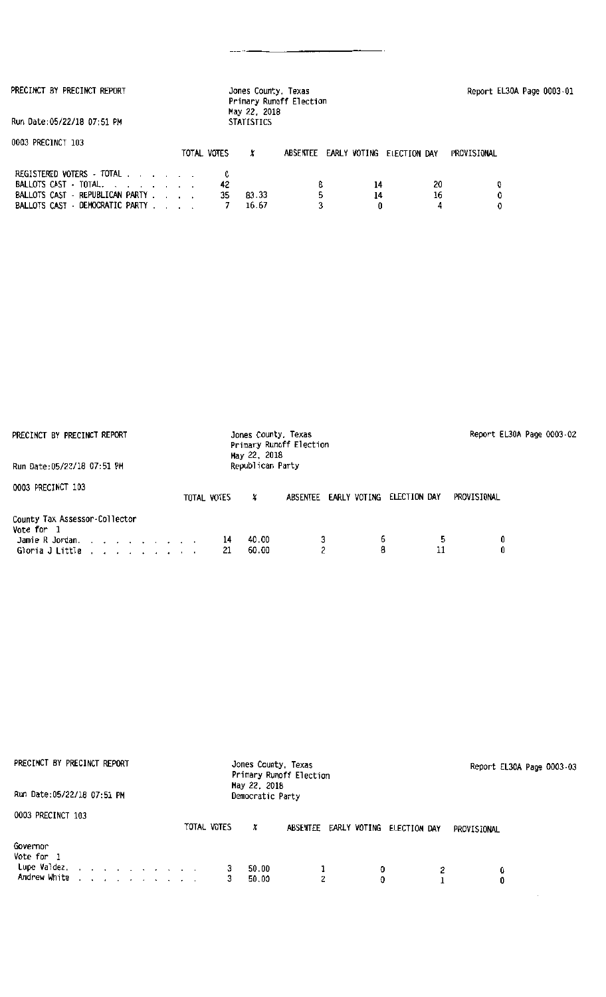PRECINCT BY PRECINCT REPORT

Run Oate:05/22118 07;51 PM

| 0003 PRECINCT 103                                                      |             |               |                                    |    |             |  |
|------------------------------------------------------------------------|-------------|---------------|------------------------------------|----|-------------|--|
|                                                                        | TOTAL VOTES |               | ABSENTEE EARLY VOTING ELECTION DAY |    | PROVISIONAL |  |
| REGISTERED VOTERS - TOTAL<br>BALLOTS CAST $\cdot$ TOTAL, , , , , , , , |             | 42            |                                    |    | 20          |  |
|                                                                        |             |               |                                    |    |             |  |
| BALLOTS CAST - REPUBLICAN PARTY                                        |             | 83.33<br>-35. | ь.                                 | 14 | 16          |  |
| BALLOTS CAST - DEMOCRATIC PARTY                                        |             | 16.67         |                                    |    |             |  |

May 22, 2018 STATISTICS

Jones County, Texas Primary Runoff Election Report EL30A Page 0003 · 01

| PRECINCT BY PRECINCT REPORT                                                                                | Jones County, Texas<br>Primary Runoff Election<br>May 22, 2018 |                          |              | Report EL30A Page 0003-02 |
|------------------------------------------------------------------------------------------------------------|----------------------------------------------------------------|--------------------------|--------------|---------------------------|
| Run Date:05/22/18 07:51 PM                                                                                 | Republican Party                                               |                          |              |                           |
| 0003 PRECINCT 103                                                                                          | TOTAL VOTES<br>X.                                              | EARLY VOTING<br>ABSENTEE | ELECTION DAY | PROVISIONAL               |
| County Tax Assessor-Collector<br>Vote for 1                                                                |                                                                |                          |              |                           |
| Jamie R Jordan. $\ldots$ $\ldots$ $\ldots$ $\ldots$<br>Gloria J Little $\ldots$ $\ldots$ $\ldots$ $\ldots$ | 40.00<br>14<br>60.00<br>21                                     | o.                       | 6<br>11<br>8 | Û<br>0                    |

| PRECINCT BY PRECINCT REPORT                                                                                                                                                                                                                                                              | Jones County, Texas<br>Primary Runoff Election               | Report EL30A Page 0003-03 |
|------------------------------------------------------------------------------------------------------------------------------------------------------------------------------------------------------------------------------------------------------------------------------------------|--------------------------------------------------------------|---------------------------|
| Run Date: 05/22/18 07:51 PM                                                                                                                                                                                                                                                              | May 22, 2018<br>Democratic Party                             |                           |
| 0003 PRECINCT 103                                                                                                                                                                                                                                                                        | TOTAL VOTES<br>x<br>ABSENTEE<br>EARLY VOTING<br>ELECTION DAY | PROVISIONAL               |
| Governor<br>Vote for 1<br>Lupe Valdez.<br>Andrew White<br>and the contract of the contract of the contract of the contract of the contract of the contract of the contract of the contract of the contract of the contract of the contract of the contract of the contract of the contra | 50.00<br>O<br>50.00<br>ヮ<br>0                                | 0<br>0                    |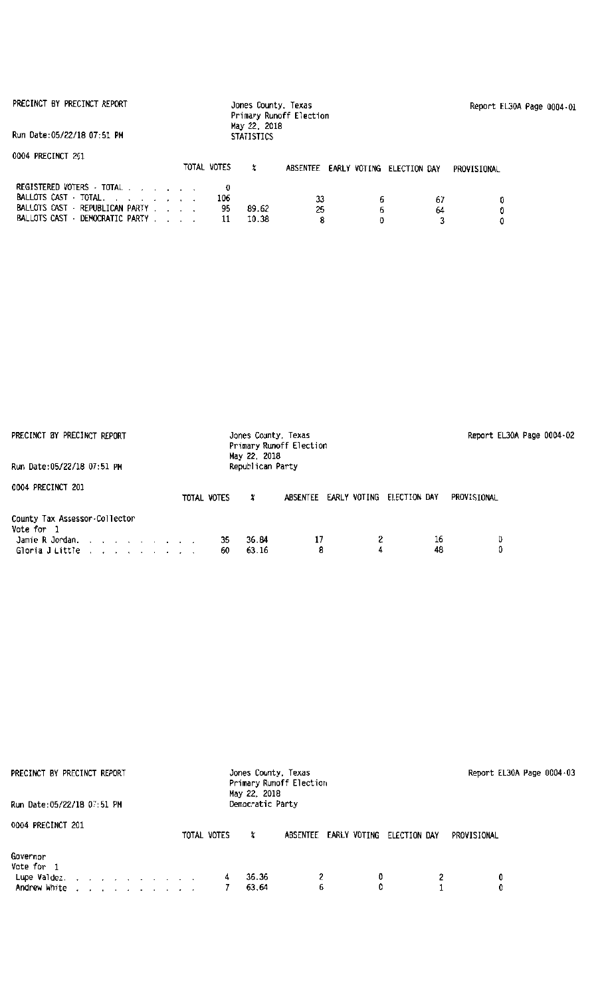|  |  | PRECINCT BY PRECINCT REPORT |  |
|--|--|-----------------------------|--|
|--|--|-----------------------------|--|

Report El30A Page 0004·01

Run Oate:05/22/18 07:51 PM

| 0004 PRECINCT 201                                                                                                        | TOTAL VOTES |                | ABSENTEE EARLY VOTING ELECTION DAY |   |          | PROVISIONAL |
|--------------------------------------------------------------------------------------------------------------------------|-------------|----------------|------------------------------------|---|----------|-------------|
| REGISTERED VOTERS - TOTAL<br>BALLOTS CAST - TOTAL.<br>BALLOTS CAST - REPUBLICAN PARTY<br>BALLOTS CAST - DEMOCRATIC PARTY | 106<br>95   | 89.62<br>10.38 | 33<br>25                           | 6 | 67<br>64 |             |

| PRECINCT BY PRECINCT REPORT                                                                                                                |                  | Jones County, Texas<br>Primary Runoff Election<br>May 22, 2018<br>Republican Party |              | Report EL30A Page 0004-02 |
|--------------------------------------------------------------------------------------------------------------------------------------------|------------------|------------------------------------------------------------------------------------|--------------|---------------------------|
| Run Date:05/22/18 07:51 PM                                                                                                                 |                  |                                                                                    |              |                           |
| 0004 PRECINCT 201                                                                                                                          | TOTAL VOTES<br>x | ABSENTEE EARLY VOTING                                                              | ELECTION DAY | PROVISIONAL               |
| County Tax Assessor.Collector<br>Vote for 1<br>Jamie R Jordan. $\cdot \cdot \cdot \cdot$<br>Gloria J Little $\ldots$ , $\ldots$ , $\ldots$ | 35<br>60         | 36.84<br>17<br>8<br>63.16                                                          | 16<br>48     | 0.                        |

| PRECINCT BY PRECINCT REPORT<br>Run Date:05/22/18 07:51 PM                                                                               | Jones County, Texas<br>Primary Runoff Election<br>May 22, 2018<br>Democratic Party |                          |                             | Report EL30A Page 0004-03 |
|-----------------------------------------------------------------------------------------------------------------------------------------|------------------------------------------------------------------------------------|--------------------------|-----------------------------|---------------------------|
| 0004 PRECINCT 201                                                                                                                       | TOTAL VOTES<br>Х                                                                   | EARLY VOTING<br>ABSENTEE | PROVISIONAL<br>ELECTION DAY |                           |
| Governor<br>Vote for 1<br>Lupe Valdez, $\ldots$ , $\ldots$ , $\ldots$ , $\ldots$<br>and a series of the contract of the<br>Andrew White | 36.36<br>4<br>63.64                                                                | 2<br>0<br>6<br>0         | 0                           |                           |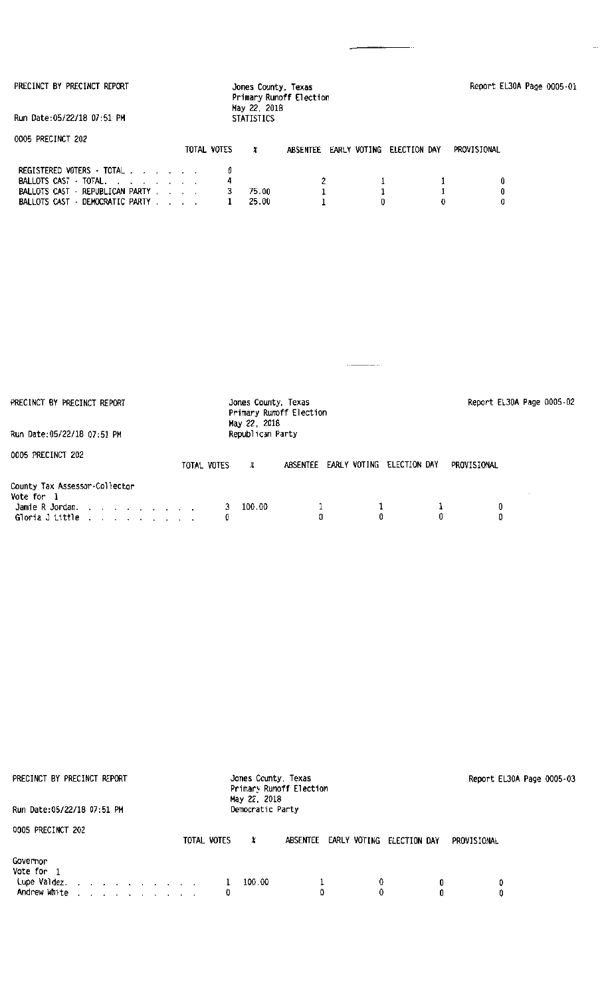2 1 1 1 1 0 1 1 0

4

3 75.00 1 25.00

BALLOTS CAST · DEMOCRATIC PARTY

| PRECINCT BY PRECINCT REPORT                                                                                           | Jones County, Texas<br>Primary Runoff Election<br>May 22, 2018 |                           | Report EL30A Page 0005-02 |
|-----------------------------------------------------------------------------------------------------------------------|----------------------------------------------------------------|---------------------------|---------------------------|
| Run Date: 05/22/18 07:51 PM                                                                                           | Republican Party                                               |                           |                           |
| 0005 PRECINCT 202                                                                                                     | TOTAL VOTES<br>ABSENTEE<br>χ                                   | EARLY VOTING ELECTION DAY | PROVISIONAL               |
| County Tax Assessor-Collector<br>Vote for 1<br>Jamie R Jordan.<br>Gloria J Little $\ldots$ $\ldots$ $\ldots$ $\ldots$ | 100.00<br>0                                                    | 0                         | 0<br>0<br>0               |

| PRECINCT BY PRECINCT REPORT<br>Run Date:05/22/18 07:51 PM                                                                                                                                                                                                                                | Jones County, Texas<br>Primary Runoff Election<br>May 22, 2018<br>Democratic Party | Report EL30A Page 0005-03 |
|------------------------------------------------------------------------------------------------------------------------------------------------------------------------------------------------------------------------------------------------------------------------------------------|------------------------------------------------------------------------------------|---------------------------|
| 0005 PRECINCT 202                                                                                                                                                                                                                                                                        | ABSENTEE EARLY VOTING ELECTION DAY<br>TOTAL VOTES<br>x                             | PROVISIONAL               |
| Governor<br>Vote for 1<br>Lupe Valdez.<br>and the contract of the contract of the contract of the contract of the contract of the contract of the contract of the contract of the contract of the contract of the contract of the contract of the contract of the contra<br>Andrew White | 100.00<br>0<br>0<br>0                                                              | 0<br>0<br>o               |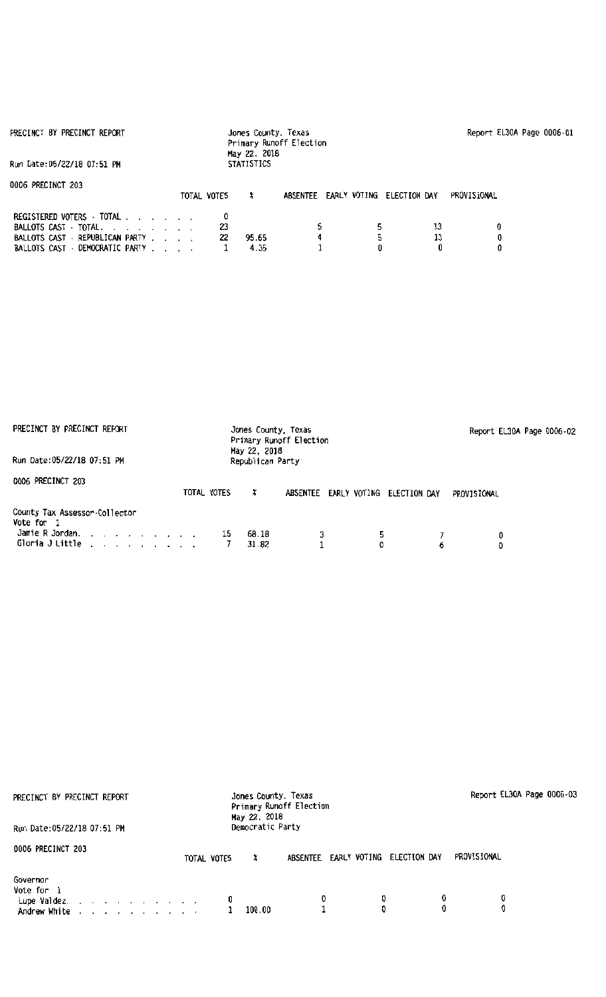| PRECINCT BY PRECINCT REPORT                                                                                              |             | Jones County, Texas<br>Primary Runoff Election<br>May 22, 2018 |          |                           |             | Report EL30A Page 0006-01 |
|--------------------------------------------------------------------------------------------------------------------------|-------------|----------------------------------------------------------------|----------|---------------------------|-------------|---------------------------|
| Run Date:05/22/18 07:51 PM                                                                                               |             | <b>STATISTICS</b>                                              |          |                           |             |                           |
| 0006 PRECINCT 203                                                                                                        | TOTAL VOTES | x                                                              | ABSENTEE | EARLY VOTING ELECTION DAY | PROVISIONAL |                           |
| REGISTERED VOTERS - TOTAL<br>BALLOTS CAST - TOTAL.<br>BALLOTS CAST - REPUBLICAN PARTY<br>BALLOTS CAST - DEMOCRATIC PARTY | 23<br>22    | 95.65<br>4.35                                                  |          | 13<br>13                  | 0           |                           |

| PRECINCT BY PRECINCT REPORT<br>Run Date:05/22/18 07:51 PM                         | Jones County, Texas<br>Primary Runoff Election<br>May 22, 2018<br>Republican Party |                          |              | Report EL30A Page 0006-02 |
|-----------------------------------------------------------------------------------|------------------------------------------------------------------------------------|--------------------------|--------------|---------------------------|
| 0006 PRECINCT 203                                                                 | TOTAL VOTES<br>x                                                                   | EARLY VOTING<br>ABSENTEE | ELECTION DAY | PROVISIONAL               |
| County Tax Assessor-Collector<br>Vote for 1<br>Jamie R Jordan.<br>Gloria J Little | 68.18<br>15<br>31.82                                                               | 3<br>5.                  | 6            | 0<br>0                    |

| PRECINCT BY PRECINCT REPORT                                                                                                                                                                                                                                                              | Jones County, Texas<br>May 22, 2018 | Primary Runoff Election  |                  | Report EL30A Page 0006-03 |
|------------------------------------------------------------------------------------------------------------------------------------------------------------------------------------------------------------------------------------------------------------------------------------------|-------------------------------------|--------------------------|------------------|---------------------------|
| Run Date: 05/22/18 07:51 PM                                                                                                                                                                                                                                                              | Democratic Party                    |                          |                  |                           |
| 0006 PRECINCT 203                                                                                                                                                                                                                                                                        | TOTAL VOTES<br>x                    | EARLY VOTING<br>ABSENTEE | ELECTION DAY     | PROVISIONAL               |
| Governor<br>Vote for 1<br>Eupe Valdez.<br>and a series of the series of the series of the series of the series of the series of the series of the series of the series of the series of the series of the series of the series of the series of the series of the series<br>Andrew White | 0<br>100.00                         | 0                        | 0<br>0<br>0<br>O | 0                         |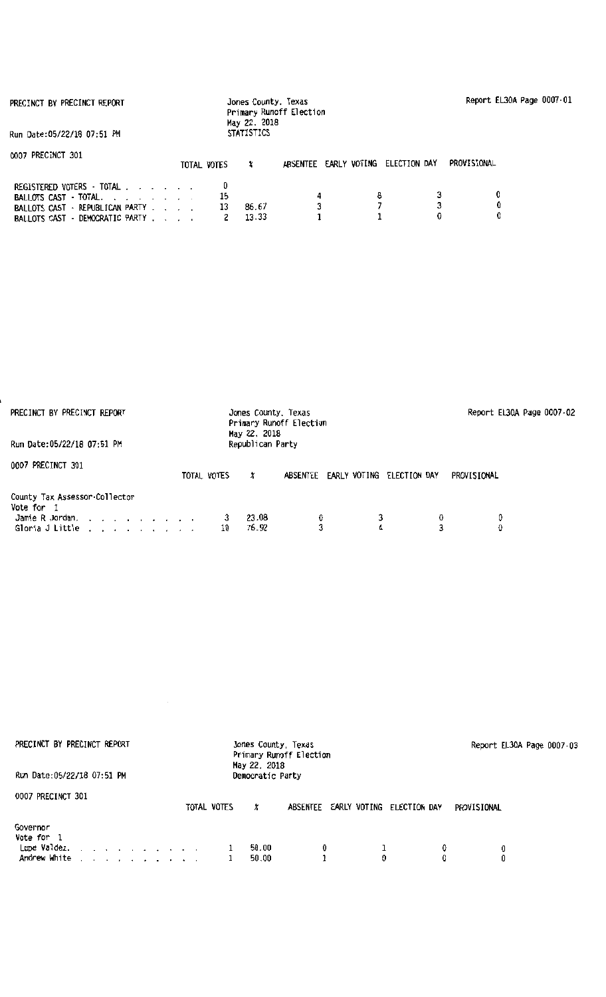|  |  | PRECINCT BY PRECINCT REPORT |  |  |
|--|--|-----------------------------|--|--|
|--|--|-----------------------------|--|--|

Run Oate:OS/22/18 07:51 PH

| 0007 PRECINCT 301                                                                                                        | TOTAL VOTES |                | ABSENTEE EARLY VOTING ELECTION DAY | PROVISIONAL |
|--------------------------------------------------------------------------------------------------------------------------|-------------|----------------|------------------------------------|-------------|
| REGISTERED VOTERS - TOTAL<br>BALLOTS CAST - TOTAL.<br>BALLOTS CAST - REPUBLICAN PARTY<br>BALLOTS CAST - DEMOCRATIC PARTY |             | 86.67<br>13.33 |                                    |             |

| PRECINCT BY PRECINCT REPORT<br>Run Date:05/22/18 07:51 PM                                                             | Jones County, Texas<br>May 22, 2018<br>Republican Party | Primary Runoff Election               |             | Report EL30A Page 0007-02 |
|-----------------------------------------------------------------------------------------------------------------------|---------------------------------------------------------|---------------------------------------|-------------|---------------------------|
|                                                                                                                       |                                                         |                                       |             |                           |
| 0007 PRECINCT 301                                                                                                     | TOTAL VOTES<br>x                                        | EARLY VOTING ELECTION DAY<br>ABSENTEE | PROVISIONAL |                           |
| County Tax Assessor-Collector<br>Vote for 1<br>Jamie R Jordan.<br>Gloria J Little $\ldots$ $\ldots$ $\ldots$ $\ldots$ | 23.08<br>76.92<br>10                                    | ≎<br>4                                | 0<br>3      | 0<br>0                    |

| PRECINCT BY PRECINCT REPORT                                                                   | Jones County, Texas<br>Primary Runoff Election<br>May 22, 2018 | Report EL30A Page 0007-03 |
|-----------------------------------------------------------------------------------------------|----------------------------------------------------------------|---------------------------|
| Run Date: 05/22/18 07:51 PM                                                                   | Democratic Party                                               |                           |
| 0007 PRECINCT 301                                                                             | TOTAL VOTES<br>ABSENTEE EARLY VOTING ELECTION DAY<br>X         | PROVISIONAL               |
| Governor<br>Vote for 1<br>Lupe Valdez.<br>the property of the property of the<br>Andrew White | 50.00<br>0<br>50.00<br>0                                       | 0<br>0                    |

 $\label{eq:2.1} \frac{1}{\sqrt{2}}\left(\frac{1}{\sqrt{2}}\right)^{2} \left(\frac{1}{\sqrt{2}}\right)^{2} \left(\frac{1}{\sqrt{2}}\right)^{2} \left(\frac{1}{\sqrt{2}}\right)^{2} \left(\frac{1}{\sqrt{2}}\right)^{2} \left(\frac{1}{\sqrt{2}}\right)^{2} \left(\frac{1}{\sqrt{2}}\right)^{2} \left(\frac{1}{\sqrt{2}}\right)^{2} \left(\frac{1}{\sqrt{2}}\right)^{2} \left(\frac{1}{\sqrt{2}}\right)^{2} \left(\frac{1}{\sqrt{2}}\right)^{2} \left(\$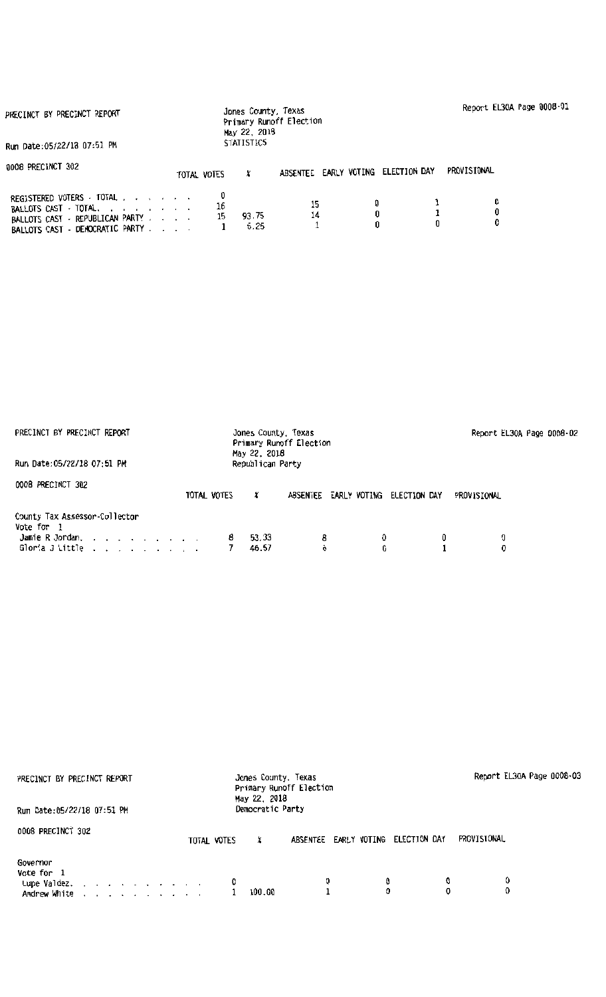| PRECINCT BY PRECINCT REPORT                                                                                              |             | Jones County, Texas<br>May 22, 2018<br><b>STATISTICS</b> | Primary Runoff Election |                                    |   | Report EL30A Page 0008-01 |  |
|--------------------------------------------------------------------------------------------------------------------------|-------------|----------------------------------------------------------|-------------------------|------------------------------------|---|---------------------------|--|
| Run Date: 05/22/18 07:51 PM                                                                                              |             |                                                          |                         |                                    |   |                           |  |
| 0008 PRECINCT 302                                                                                                        | TOTAL VOTES | x                                                        |                         | ABSENTEE EARLY VOTING ELECTION DAY |   | PROVISIONAL               |  |
| REGISTERED VOTERS · TOTAL<br>BALLOTS CAST - TOTAL.<br>BALLOTS CAST - REPUBLICAN PARTY<br>BALLOTS CAST - DEMOCRATIC PARTY | 16<br>15    | 93.75<br>6.25                                            | 15<br>14                | 0<br>0                             | 0 | 0<br>0<br>0               |  |

| PRECINCT BY PRECINCT REPORT                                    | Jones County, Texas<br>May 22, 2018 | Primary Runoff Election                  | Report EL30A Page 0008-02 |  |
|----------------------------------------------------------------|-------------------------------------|------------------------------------------|---------------------------|--|
| Run Date:05/22/18 07:51 PM                                     | Republican Party                    |                                          |                           |  |
| 0008 PRECINCT 302                                              | TOTAL VOTES<br>x                    | ABSENTEE<br>EARLY VOTING<br>ELECTION DAY | PROVISIONAL               |  |
| County Tax Assessor-Collector<br>Vote for 1<br>Jamie R Jordan. | 53.33                               | 8                                        | Û<br>0                    |  |
| Gloria J Little                                                | 46.67                               | 6                                        | 0                         |  |

| PRECINCT BY PRECINCT REPORT<br>Run Date:05/22/18 07:51 PM                                                                         | Report EL30A Page 0008-03                                 |             |
|-----------------------------------------------------------------------------------------------------------------------------------|-----------------------------------------------------------|-------------|
| 0008 PRECINCT 302                                                                                                                 | ELECTION DAY<br>ABSENTEE EARLY VOTING<br>TOTAL VOTES<br>x | PROVISIONAL |
| Governor<br>Vote for 1<br>Lupe Valdez. $\ldots$ $\ldots$ $\ldots$ $\ldots$<br>the contract of the contract of the<br>Andrew White | 0<br>0<br>0<br>0<br>100.00                                | 0           |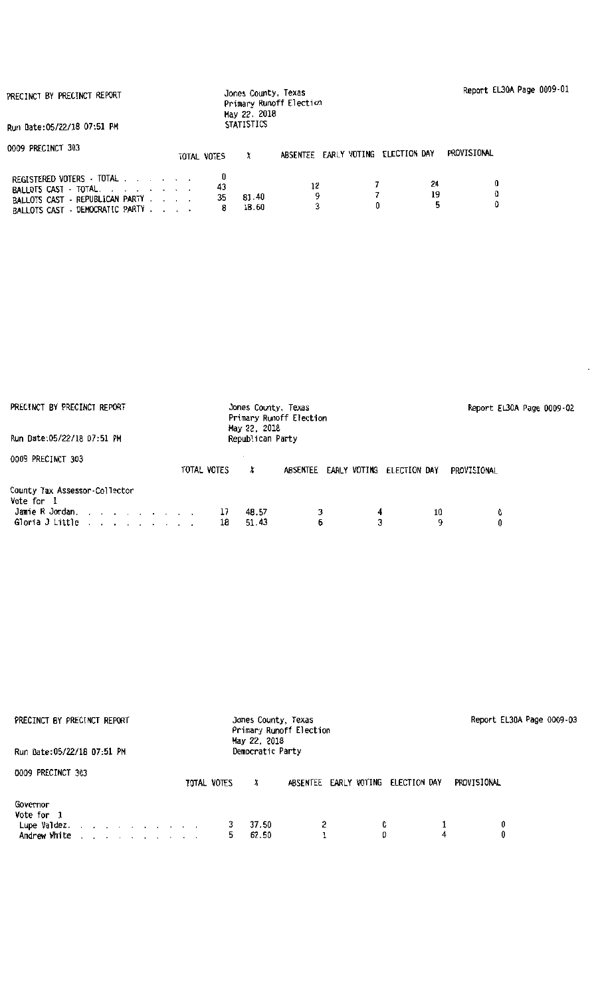|  |  | PRECINCT BY PRECINCT REPORT |  |
|--|--|-----------------------------|--|
|--|--|-----------------------------|--|

BALLOTS CAST · DEMOCRATIC PARTY .

| PRECINCT BY PRECINCT REPORT                                                           |             | Jones County, Texas               | Primary Runoff Election |                                    |             | Report EL30A Page 0009-01 |  |
|---------------------------------------------------------------------------------------|-------------|-----------------------------------|-------------------------|------------------------------------|-------------|---------------------------|--|
| Run Date:05/22/18 07:51 PM                                                            |             | May 22, 2018<br><b>STATISTICS</b> |                         |                                    |             |                           |  |
| 0009 PRECINCT 303                                                                     | TOTAL VOTES |                                   |                         | ABSENTEE EARLY VOTING ELECTION DAY | PROVISIONAL |                           |  |
| REGISTERED VOTERS · TOTAL<br>BALLOTS CAST - TOTAL.<br>BALLOTS CAST - REPUBLICAN PARTY | 43<br>35    | 81.40<br>$\overline{a}$           | 12<br>n                 | 24<br>19<br>Λ.                     |             | 0<br>Λ                    |  |

81.40 9 18.60 3

7 19 0 0 5 0

35 8

| PRECINCT BY PRECINCT REPORT                                                       |             | Jones County, Texas<br>Primary Runoff Election<br>May 22, 2018 |                 |                              |         | Report EL30A Page 0009-02 |
|-----------------------------------------------------------------------------------|-------------|----------------------------------------------------------------|-----------------|------------------------------|---------|---------------------------|
| Run Date: 05/22/18 07:51 PM                                                       |             | Republican Party                                               |                 |                              |         |                           |
| 0009 PRECINCT 303                                                                 | TOTAL VOTES | x                                                              | <b>ABSENTEE</b> | EARLY VOTING<br>ELECTION DAY |         | PROVISIONAL               |
| County Tax Assessor-Collector<br>Vote for 1<br>Jamie R Jordan.<br>Gloria J Little | 17<br>18    | 48.57<br>51.43                                                 | 6               | 4<br>3                       | 10<br>9 | 0<br>0                    |

| PRECINCT BY PRECINCT REPORT<br>Run Date:05/22/18 07:51 PM                                                                     | Jones County, Texas<br>Primary Runoff Election<br>May 22, 2018<br>Democratic Party | Report EL30A Page 0009-03 |
|-------------------------------------------------------------------------------------------------------------------------------|------------------------------------------------------------------------------------|---------------------------|
| 0009 PRECINCT 303                                                                                                             | TOTAL VOTES<br>ABSENTEE EARLY VOTING<br>ELECTION DAY<br>x                          | PROVISIONAL               |
| Governor<br>Vote for 1<br>Lupe Valdez. $\ldots$ $\ldots$ $\ldots$ $\ldots$<br>and a series of the contract of<br>Andrew White | 2<br>0<br>37.50<br>0<br>62.50<br>5.                                                | 0<br>4                    |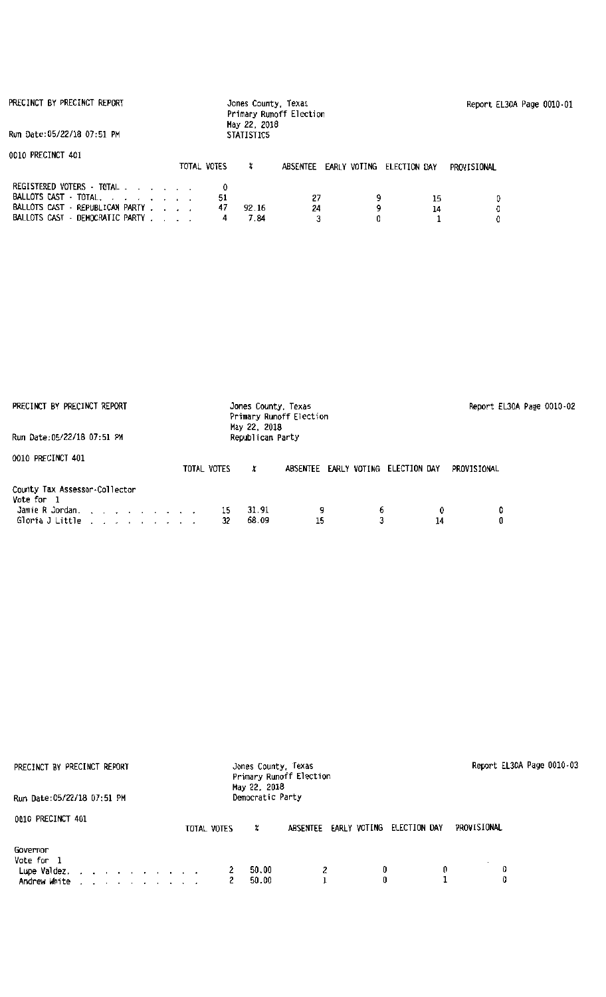| PRECINCT BY PRECINCT REPORT                                                                                                            |               | Jones County, Texas<br>Primary Runoff Election<br>May 22, 2018 |          | Report EL30A Page 0010-01 |              |             |  |
|----------------------------------------------------------------------------------------------------------------------------------------|---------------|----------------------------------------------------------------|----------|---------------------------|--------------|-------------|--|
| Run Date:05/22/18 07:51 PM                                                                                                             |               | <b>STATISTICS</b>                                              |          |                           |              |             |  |
| 0010 PRECINCT 401                                                                                                                      | TOTAL VOTES   | x                                                              | ABSENTEE | EARLY VOTING              | ELECTION DAY | PROVISIONAL |  |
| REGISTERED VOTERS - TOTAL<br>BALLOTS CAST - TOTAL, , , , , , , ,<br>BALLOTS CAST - REPUBLICAN PARTY<br>BALLOTS CAST - DEMOCRATIC PARTY | 51<br>47<br>4 | 92.16<br>7.84                                                  | 27<br>24 | 9<br>9                    | 15<br>14     | 0<br>0.     |  |

| PRECINCT BY PRECINCT REPORT                                                                                      |                            | Report EL30A Page 0010-02 |                             |        |
|------------------------------------------------------------------------------------------------------------------|----------------------------|---------------------------|-----------------------------|--------|
| Run Date: 05/22/18 07:51 PM                                                                                      | Republican Party           |                           |                             |        |
| 0010 PRECINCT 401                                                                                                | TOTAL VOTES<br>x           | EARLY VOTING<br>ABSENTEE  | PROVISIONAL<br>ELECTION DAY |        |
| County Tax Assessor-Collector<br>Vote for 1<br>Jamie R Jordan.<br>Gloria J Little $\ldots$ , $\ldots$ , $\ldots$ | 31.91<br>15<br>68.09<br>32 | 15                        | 6<br>0<br>14                | 0<br>0 |

| PRECINCT BY PRECINCT REPORT<br>Run Date: 05/22/18 07:51 PM                                                                                                                                                                                                                               | Report EL30A Page 0010-03                                 |             |
|------------------------------------------------------------------------------------------------------------------------------------------------------------------------------------------------------------------------------------------------------------------------------------------|-----------------------------------------------------------|-------------|
| 0010 PRECINCT 401                                                                                                                                                                                                                                                                        | ELECTION DAY<br>ABSENTEE EARLY VOTING<br>TOTAL VOTES<br>x | PROVISIONAL |
| Governor<br>Vote for 1<br>Lupe Valdez.<br>Andrew White<br>the contract of the contract of the second second the second second second the second second second second second second second second second second second second second second second second second second second second sec | 0<br>2<br>50.00<br>0<br>50.00                             | 0           |